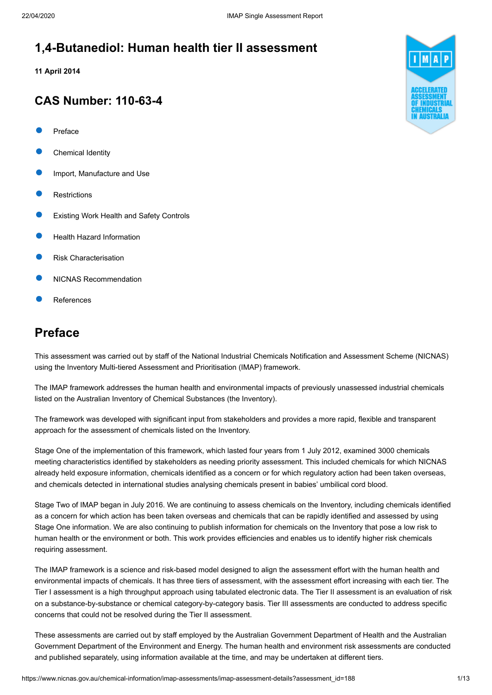### **1,4-Butanediol: Human health tier II assessment**

**11 April 2014**

### **CAS Number: 110-63-4**

- [Preface](#page-0-0)
- [Chemical Identity](#page-1-0)
- [Import, Manufacture and Use](#page-2-0)
- **[Restrictions](#page-3-0)**
- [Existing Work Health and Safety Controls](#page-3-1)
- [Health Hazard Information](#page-4-0)
- [Risk Characterisation](#page-8-0)
- [NICNAS Recommendation](#page-9-0)
- [References](#page-11-0)

### <span id="page-0-0"></span>**Preface**

This assessment was carried out by staff of the National Industrial Chemicals Notification and Assessment Scheme (NICNAS) using the Inventory Multi-tiered Assessment and Prioritisation (IMAP) framework.

The IMAP framework addresses the human health and environmental impacts of previously unassessed industrial chemicals listed on the Australian Inventory of Chemical Substances (the Inventory).

The framework was developed with significant input from stakeholders and provides a more rapid, flexible and transparent approach for the assessment of chemicals listed on the Inventory.

Stage One of the implementation of this framework, which lasted four years from 1 July 2012, examined 3000 chemicals meeting characteristics identified by stakeholders as needing priority assessment. This included chemicals for which NICNAS already held exposure information, chemicals identified as a concern or for which regulatory action had been taken overseas, and chemicals detected in international studies analysing chemicals present in babies' umbilical cord blood.

Stage Two of IMAP began in July 2016. We are continuing to assess chemicals on the Inventory, including chemicals identified as a concern for which action has been taken overseas and chemicals that can be rapidly identified and assessed by using Stage One information. We are also continuing to publish information for chemicals on the Inventory that pose a low risk to human health or the environment or both. This work provides efficiencies and enables us to identify higher risk chemicals requiring assessment.

The IMAP framework is a science and risk-based model designed to align the assessment effort with the human health and environmental impacts of chemicals. It has three tiers of assessment, with the assessment effort increasing with each tier. The Tier I assessment is a high throughput approach using tabulated electronic data. The Tier II assessment is an evaluation of risk on a substance-by-substance or chemical category-by-category basis. Tier III assessments are conducted to address specific concerns that could not be resolved during the Tier II assessment.

These assessments are carried out by staff employed by the Australian Government Department of Health and the Australian Government Department of the Environment and Energy. The human health and environment risk assessments are conducted and published separately, using information available at the time, and may be undertaken at different tiers.

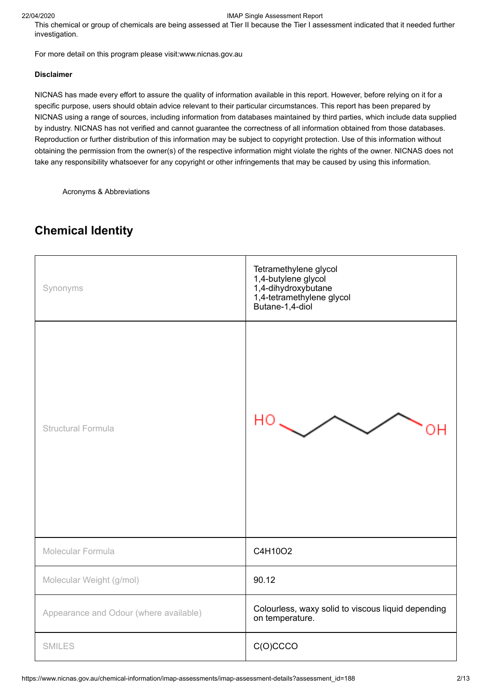This chemical or group of chemicals are being assessed at Tier II because the Tier I assessment indicated that it needed further investigation.

For more detail on this program please visit[:www.nicnas.gov.au](https://www.nicnas.gov.au/home)

#### **Disclaimer**

NICNAS has made every effort to assure the quality of information available in this report. However, before relying on it for a specific purpose, users should obtain advice relevant to their particular circumstances. This report has been prepared by NICNAS using a range of sources, including information from databases maintained by third parties, which include data supplied by industry. NICNAS has not verified and cannot guarantee the correctness of all information obtained from those databases. Reproduction or further distribution of this information may be subject to copyright protection. Use of this information without obtaining the permission from the owner(s) of the respective information might violate the rights of the owner. NICNAS does not take any responsibility whatsoever for any copyright or other infringements that may be caused by using this information.

[Acronyms & Abbreviations](https://www.nicnas.gov.au/glossary)

# Tetramethylene glycol 1,4-butylene glycol Synonyms 1,4-dihydroxybutane 1,4-tetramethylene glycol Butane-1,4-diol НO Structural Formula OΗ Molecular Formula **C4H10O2** Molecular Weight (g/mol) **90.12** Appearance and Odour (where available) Colourless, waxy solid to viscous liquid depending on temperature. SMILES COCCO

### <span id="page-1-0"></span>**Chemical Identity**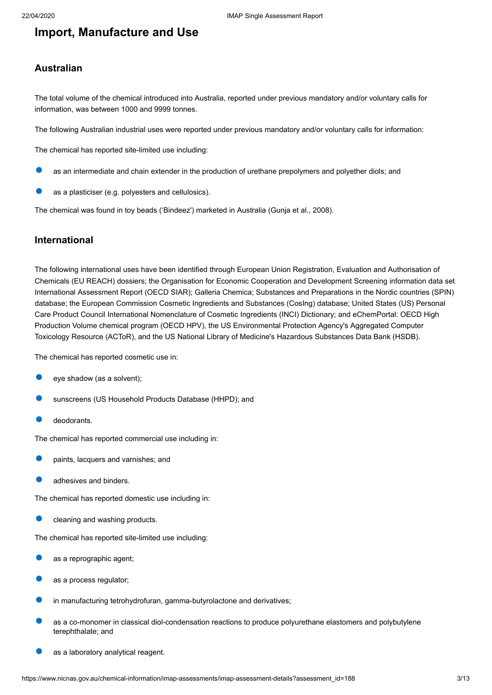### <span id="page-2-0"></span>**Import, Manufacture and Use**

#### **Australian**

The total volume of the chemical introduced into Australia, reported under previous mandatory and/or voluntary calls for information, was between 1000 and 9999 tonnes.

The following Australian industrial uses were reported under previous mandatory and/or voluntary calls for information:

The chemical has reported site-limited use including:

- as an intermediate and chain extender in the production of urethane prepolymers and polyether diols; and
- as a plasticiser (e.g. polyesters and cellulosics).

The chemical was found in toy beads ('Bindeez') marketed in Australia (Gunja et al., 2008).

#### **International**

The following international uses have been identified through European Union Registration, Evaluation and Authorisation of Chemicals (EU REACH) dossiers; the Organisation for Economic Cooperation and Development Screening information data set International Assessment Report (OECD SIAR); Galleria Chemica; Substances and Preparations in the Nordic countries (SPIN) database; the European Commission Cosmetic Ingredients and Substances (CosIng) database; United States (US) Personal Care Product Council International Nomenclature of Cosmetic Ingredients (INCI) Dictionary; and eChemPortal: OECD High Production Volume chemical program (OECD HPV), the US Environmental Protection Agency's Aggregated Computer Toxicology Resource (ACToR), and the US National Library of Medicine's Hazardous Substances Data Bank (HSDB).

The chemical has reported cosmetic use in:

- eye shadow (as a solvent);
- sunscreens (US Household Products Database (HHPD); and
- deodorants.

The chemical has reported commercial use including in:

- paints, lacquers and varnishes; and
- adhesives and binders.

The chemical has reported domestic use including in:

cleaning and washing products.

The chemical has reported site-limited use including:

- as a reprographic agent;
- as a process regulator;
- in manufacturing tetrohydrofuran, gamma-butyrolactone and derivatives;
- as a co-monomer in classical diol-condensation reactions to produce polyurethane elastomers and polybutylene terephthalate; and
- as a laboratory analytical reagent.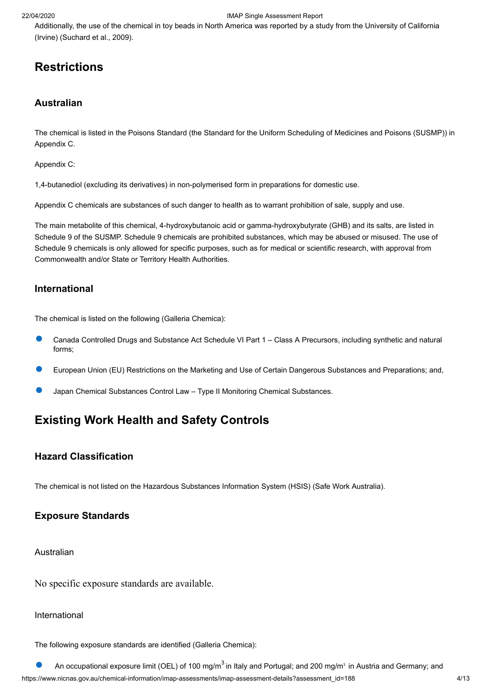Additionally, the use of the chemical in toy beads in North America was reported by a study from the University of California (Irvine) (Suchard et al., 2009).

## <span id="page-3-0"></span>**Restrictions**

### **Australian**

The chemical is listed in the Poisons Standard (the Standard for the Uniform Scheduling of Medicines and Poisons (SUSMP)) in Appendix C.

Appendix C:

1,4-butanediol (excluding its derivatives) in non-polymerised form in preparations for domestic use.

Appendix C chemicals are substances of such danger to health as to warrant prohibition of sale, supply and use.

The main metabolite of this chemical, 4-hydroxybutanoic acid or gamma-hydroxybutyrate (GHB) and its salts, are listed in Schedule 9 of the SUSMP. Schedule 9 chemicals are prohibited substances, which may be abused or misused. The use of Schedule 9 chemicals is only allowed for specific purposes, such as for medical or scientific research, with approval from Commonwealth and/or State or Territory Health Authorities.

#### **International**

The chemical is listed on the following (Galleria Chemica):

- Canada Controlled Drugs and Substance Act Schedule VI Part 1 Class A Precursors, including synthetic and natural forms;
- European Union (EU) Restrictions on the Marketing and Use of Certain Dangerous Substances and Preparations; and,
- Japan Chemical Substances Control Law Type II Monitoring Chemical Substances.

## <span id="page-3-1"></span>**Existing Work Health and Safety Controls**

### **Hazard Classification**

The chemical is not listed on the Hazardous Substances Information System (HSIS) (Safe Work Australia).

#### **Exposure Standards**

Australian

No specific exposure standards are available.

#### International

The following exposure standards are identified (Galleria Chemica):

https://www.nicnas.gov.au/chemical-information/imap-assessments/imap-assessment-details?assessment\_id=188 4/13 An occupational exposure limit (OEL) of 100 mg/m<sup>3</sup> in Italy and Portugal; and 200 mg/m<sup>3</sup> in Austria and Germany; and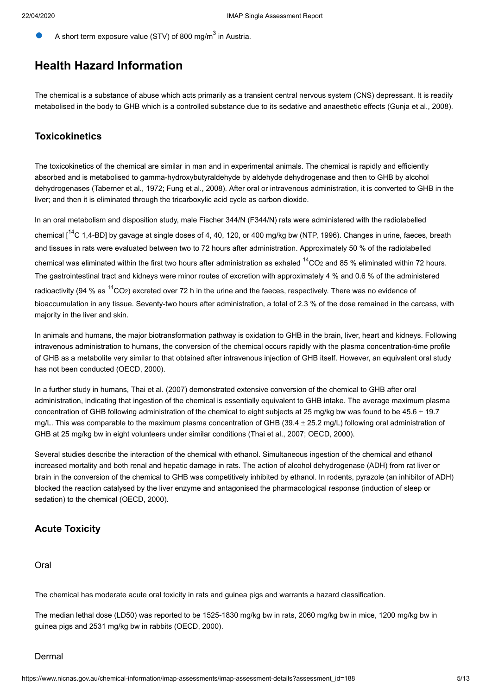A short term exposure value (STV) of 800 mg/m<sup>3</sup> in Austria.

## <span id="page-4-0"></span>**Health Hazard Information**

The chemical is a substance of abuse which acts primarily as a transient central nervous system (CNS) depressant. It is readily metabolised in the body to GHB which is a controlled substance due to its sedative and anaesthetic effects (Gunja et al., 2008).

#### **Toxicokinetics**

The toxicokinetics of the chemical are similar in man and in experimental animals. The chemical is rapidly and efficiently absorbed and is metabolised to gamma-hydroxybutyraldehyde by aldehyde dehydrogenase and then to GHB by alcohol dehydrogenases (Taberner et al., 1972; Fung et al., 2008). After oral or intravenous administration, it is converted to GHB in the liver; and then it is eliminated through the tricarboxylic acid cycle as carbon dioxide.

In an oral metabolism and disposition study, male Fischer 344/N (F344/N) rats were administered with the radiolabelled chemical  $1^{14}$ C 1,4-BD] by gavage at single doses of 4, 40, 120, or 400 mg/kg bw (NTP, 1996). Changes in urine, faeces, breath and tissues in rats were evaluated between two to 72 hours after administration. Approximately 50 % of the radiolabelled chemical was eliminated within the first two hours after administration as exhaled  $14$ CO<sub>2</sub> and 85 % eliminated within 72 hours. The gastrointestinal tract and kidneys were minor routes of excretion with approximately 4 % and 0.6 % of the administered radioactivity (94 % as <sup>14</sup>CO<sub>2</sub>) excreted over 72 h in the urine and the faeces, respectively. There was no evidence of bioaccumulation in any tissue. Seventy-two hours after administration, a total of 2.3 % of the dose remained in the carcass, with majority in the liver and skin.

In animals and humans, the major biotransformation pathway is oxidation to GHB in the brain, liver, heart and kidneys. Following intravenous administration to humans, the conversion of the chemical occurs rapidly with the plasma concentration-time profile of GHB as a metabolite very similar to that obtained after intravenous injection of GHB itself. However, an equivalent oral study has not been conducted (OECD, 2000).

In a further study in humans, Thai et al. (2007) demonstrated extensive conversion of the chemical to GHB after oral administration, indicating that ingestion of the chemical is essentially equivalent to GHB intake. The average maximum plasma concentration of GHB following administration of the chemical to eight subjects at 25 mg/kg bw was found to be  $45.6 \pm 19.7$ mg/L. This was comparable to the maximum plasma concentration of GHB (39.4  $\pm$  25.2 mg/L) following oral administration of GHB at 25 mg/kg bw in eight volunteers under similar conditions (Thai et al., 2007; OECD, 2000).

Several studies describe the interaction of the chemical with ethanol. Simultaneous ingestion of the chemical and ethanol increased mortality and both renal and hepatic damage in rats. The action of alcohol dehydrogenase (ADH) from rat liver or brain in the conversion of the chemical to GHB was competitively inhibited by ethanol. In rodents, pyrazole (an inhibitor of ADH) blocked the reaction catalysed by the liver enzyme and antagonised the pharmacological response (induction of sleep or sedation) to the chemical (OECD, 2000).

### **Acute Toxicity**

Oral

The chemical has moderate acute oral toxicity in rats and guinea pigs and warrants a hazard classification.

The median lethal dose (LD50) was reported to be 1525-1830 mg/kg bw in rats, 2060 mg/kg bw in mice, 1200 mg/kg bw in guinea pigs and 2531 mg/kg bw in rabbits (OECD, 2000).

#### Dermal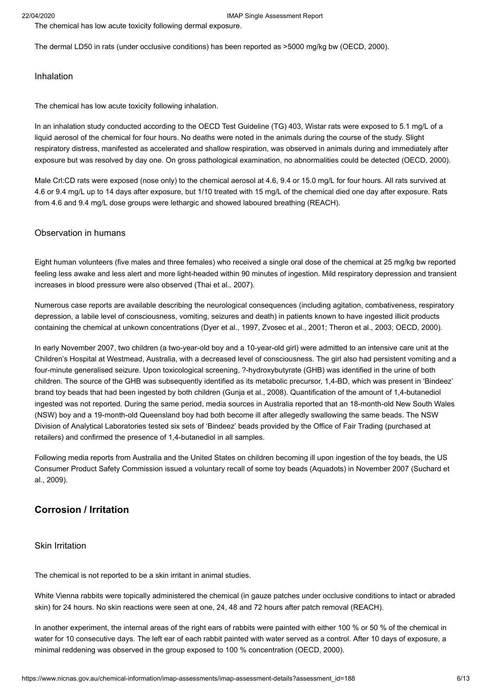The chemical has low acute toxicity following dermal exposure.

The dermal LD50 in rats (under occlusive conditions) has been reported as >5000 mg/kg bw (OECD, 2000).

#### Inhalation

The chemical has low acute toxicity following inhalation.

In an inhalation study conducted according to the OECD Test Guideline (TG) 403, Wistar rats were exposed to 5.1 mg/L of a liquid aerosol of the chemical for four hours. No deaths were noted in the animals during the course of the study. Slight respiratory distress, manifested as accelerated and shallow respiration, was observed in animals during and immediately after exposure but was resolved by day one. On gross pathological examination, no abnormalities could be detected (OECD, 2000).

Male Crl:CD rats were exposed (nose only) to the chemical aerosol at 4.6, 9.4 or 15.0 mg/L for four hours. All rats survived at 4.6 or 9.4 mg/L up to 14 days after exposure, but 1/10 treated with 15 mg/L of the chemical died one day after exposure. Rats from 4.6 and 9.4 mg/L dose groups were lethargic and showed laboured breathing (REACH).

#### Observation in humans

Eight human volunteers (five males and three females) who received a single oral dose of the chemical at 25 mg/kg bw reported feeling less awake and less alert and more light-headed within 90 minutes of ingestion. Mild respiratory depression and transient increases in blood pressure were also observed (Thai et al*.,* 2007).

Numerous case reports are available describing the neurological consequences (including agitation, combativeness, respiratory depression, a labile level of consciousness, vomiting, seizures and death) in patients known to have ingested illicit products containing the chemical at unkown concentrations (Dyer et al., 1997, Zvosec et al*.*, 2001; Theron et al., 2003; OECD, 2000).

In early November 2007, two children (a two-year-old boy and a 10-year-old girl) were admitted to an intensive care unit at the Children's Hospital at Westmead, Australia, with a decreased level of consciousness. The girl also had persistent vomiting and a four-minute generalised seizure. Upon toxicological screening, ?-hydroxybutyrate (GHB) was identified in the urine of both children. The source of the GHB was subsequently identified as its metabolic precursor, 1,4-BD, which was present in 'Bindeez' brand toy beads that had been ingested by both children (Gunja et al., 2008). Quantification of the amount of 1,4-butanediol ingested was not reported. During the same period, media sources in Australia reported that an 18-month-old New South Wales (NSW) boy and a 19-month-old Queensland boy had both become ill after allegedly swallowing the same beads. The NSW Division of Analytical Laboratories tested six sets of 'Bindeez' beads provided by the Office of Fair Trading (purchased at retailers) and confirmed the presence of 1,4-butanediol in all samples.

Following media reports from Australia and the United States on children becoming ill upon ingestion of the toy beads, the US Consumer Product Safety Commission issued a voluntary recall of some toy beads (Aquadots) in November 2007 (Suchard et al., 2009).

#### **Corrosion / Irritation**

#### Skin Irritation

The chemical is not reported to be a skin irritant in animal studies.

White Vienna rabbits were topically administered the chemical (in gauze patches under occlusive conditions to intact or abraded skin) for 24 hours. No skin reactions were seen at one, 24, 48 and 72 hours after patch removal (REACH).

In another experiment, the internal areas of the right ears of rabbits were painted with either 100 % or 50 % of the chemical in water for 10 consecutive days. The left ear of each rabbit painted with water served as a control. After 10 days of exposure, a minimal reddening was observed in the group exposed to 100 % concentration (OECD, 2000).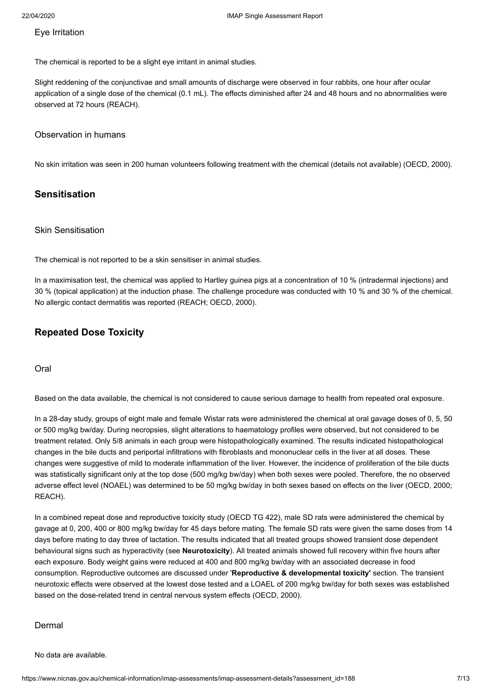#### Eye Irritation

The chemical is reported to be a slight eye irritant in animal studies.

Slight reddening of the conjunctivae and small amounts of discharge were observed in four rabbits, one hour after ocular application of a single dose of the chemical (0.1 mL). The effects diminished after 24 and 48 hours and no abnormalities were observed at 72 hours (REACH).

#### Observation in humans

No skin irritation was seen in 200 human volunteers following treatment with the chemical (details not available) (OECD, 2000).

#### **Sensitisation**

#### Skin Sensitisation

The chemical is not reported to be a skin sensitiser in animal studies.

In a maximisation test, the chemical was applied to Hartley guinea pigs at a concentration of 10 % (intradermal injections) and 30 % (topical application) at the induction phase. The challenge procedure was conducted with 10 % and 30 % of the chemical. No allergic contact dermatitis was reported (REACH; OECD, 2000).

### **Repeated Dose Toxicity**

Oral

Based on the data available, the chemical is not considered to cause serious damage to health from repeated oral exposure.

In a 28-day study, groups of eight male and female Wistar rats were administered the chemical at oral gavage doses of 0, 5, 50 or 500 mg/kg bw/day. During necropsies, slight alterations to haematology profiles were observed, but not considered to be treatment related. Only 5/8 animals in each group were histopathologically examined. The results indicated histopathological changes in the bile ducts and periportal infiltrations with fibroblasts and mononuclear cells in the liver at all doses. These changes were suggestive of mild to moderate inflammation of the liver. However, the incidence of proliferation of the bile ducts was statistically significant only at the top dose (500 mg/kg bw/day) when both sexes were pooled. Therefore, the no observed adverse effect level (NOAEL) was determined to be 50 mg/kg bw/day in both sexes based on effects on the liver (OECD, 2000; REACH).

In a combined repeat dose and reproductive toxicity study (OECD TG 422), male SD rats were administered the chemical by gavage at 0, 200, 400 or 800 mg/kg bw/day for 45 days before mating. The female SD rats were given the same doses from 14 days before mating to day three of lactation. The results indicated that all treated groups showed transient dose dependent behavioural signs such as hyperactivity (see **Neurotoxicity**). All treated animals showed full recovery within five hours after each exposure. Body weight gains were reduced at 400 and 800 mg/kg bw/day with an associated decrease in food consumption. Reproductive outcomes are discussed under '**Reproductive & developmental toxicity'** section. The transient neurotoxic effects were observed at the lowest dose tested and a LOAEL of 200 mg/kg bw/day for both sexes was established based on the dose-related trend in central nervous system effects (OECD, 2000).

#### Dermal

No data are available.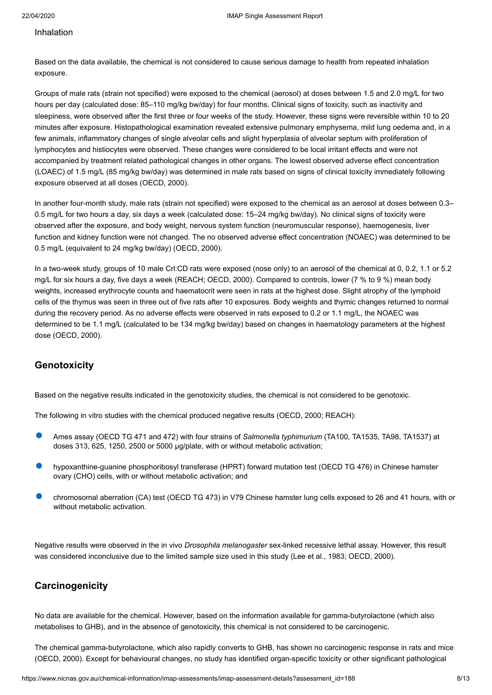#### Inhalation

Based on the data available, the chemical is not considered to cause serious damage to health from repeated inhalation exposure.

Groups of male rats (strain not specified) were exposed to the chemical (aerosol) at doses between 1.5 and 2.0 mg/L for two hours per day (calculated dose: 85–110 mg/kg bw/day) for four months. Clinical signs of toxicity, such as inactivity and sleepiness, were observed after the first three or four weeks of the study. However, these signs were reversible within 10 to 20 minutes after exposure. Histopathological examination revealed extensive pulmonary emphysema, mild lung oedema and, in a few animals, inflammatory changes of single alveolar cells and slight hyperplasia of alveolar septum with proliferation of lymphocytes and histiocytes were observed. These changes were considered to be local irritant effects and were not accompanied by treatment related pathological changes in other organs. The lowest observed adverse effect concentration (LOAEC) of 1.5 mg/L (85 mg/kg bw/day) was determined in male rats based on signs of clinical toxicity immediately following exposure observed at all doses (OECD, 2000).

In another four-month study, male rats (strain not specified) were exposed to the chemical as an aerosol at doses between 0.3– 0.5 mg/L for two hours a day, six days a week (calculated dose: 15–24 mg/kg bw/day). No clinical signs of toxicity were observed after the exposure, and body weight, nervous system function (neuromuscular response), haemogenesis, liver function and kidney function were not changed. The no observed adverse effect concentration (NOAEC) was determined to be 0.5 mg/L (equivalent to 24 mg/kg bw/day) (OECD, 2000).

In a two-week study, groups of 10 male Crl:CD rats were exposed (nose only) to an aerosol of the chemical at 0, 0.2, 1.1 or 5.2 mg/L for six hours a day, five days a week (REACH; OECD, 2000). Compared to controls, lower (7 % to 9 %) mean body weights, increased erythrocyte counts and haematocrit were seen in rats at the highest dose. Slight atrophy of the lymphoid cells of the thymus was seen in three out of five rats after 10 exposures. Body weights and thymic changes returned to normal during the recovery period. As no adverse effects were observed in rats exposed to 0.2 or 1.1 mg/L, the NOAEC was determined to be 1.1 mg/L (calculated to be 134 mg/kg bw/day) based on changes in haematology parameters at the highest dose (OECD, 2000).

#### **Genotoxicity**

Based on the negative results indicated in the genotoxicity studies, the chemical is not considered to be genotoxic.

The following in vitro studies with the chemical produced negative results (OECD, 2000; REACH):

- Ames assay (OECD TG 471 and 472) with four strains of *Salmonella typhimurium* (TA100, TA1535, TA98, TA1537) at doses 313, 625, 1250, 2500 or 5000 µg/plate, with or without metabolic activation;
- hypoxanthine-guanine phosphoribosyl transferase (HPRT) forward mutation test (OECD TG 476) in Chinese hamster ovary (CHO) cells, with or without metabolic activation; and
- chromosomal aberration (CA) test (OECD TG 473) in V79 Chinese hamster lung cells exposed to 26 and 41 hours, with or without metabolic activation.

Negative results were observed in the in vivo *Drosophila melanogaster* sex-linked recessive lethal assay. However, this result was considered inconclusive due to the limited sample size used in this study (Lee et al., 1983; OECD, 2000).

#### **Carcinogenicity**

No data are available for the chemical. However, based on the information available for gamma-butyrolactone (which also metabolises to GHB), and in the absence of genotoxicity, this chemical is not considered to be carcinogenic.

The chemical gamma-butyrolactone, which also rapidly converts to GHB, has shown no carcinogenic response in rats and mice (OECD, 2000). Except for behavioural changes, no study has identified organ-specific toxicity or other significant pathological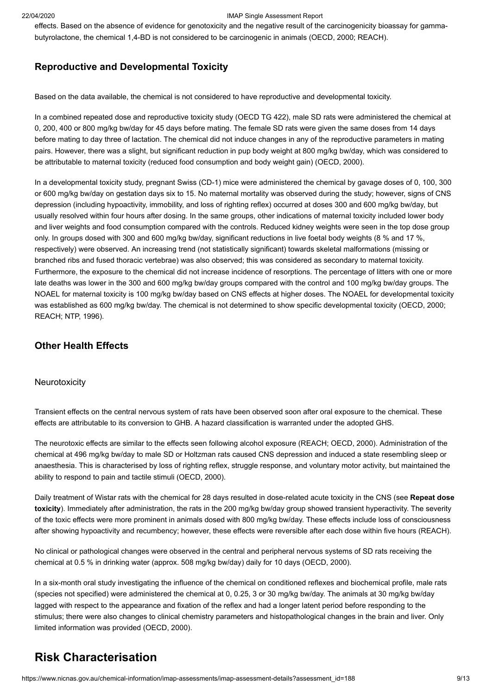effects. Based on the absence of evidence for genotoxicity and the negative result of the carcinogenicity bioassay for gammabutyrolactone, the chemical 1,4-BD is not considered to be carcinogenic in animals (OECD, 2000; REACH).

#### **Reproductive and Developmental Toxicity**

Based on the data available, the chemical is not considered to have reproductive and developmental toxicity.

In a combined repeated dose and reproductive toxicity study (OECD TG 422), male SD rats were administered the chemical at 0, 200, 400 or 800 mg/kg bw/day for 45 days before mating. The female SD rats were given the same doses from 14 days before mating to day three of lactation. The chemical did not induce changes in any of the reproductive parameters in mating pairs. However, there was a slight, but significant reduction in pup body weight at 800 mg/kg bw/day, which was considered to be attributable to maternal toxicity (reduced food consumption and body weight gain) (OECD, 2000).

In a developmental toxicity study, pregnant Swiss (CD-1) mice were administered the chemical by gavage doses of 0, 100, 300 or 600 mg/kg bw/day on gestation days six to 15. No maternal mortality was observed during the study; however, signs of CNS depression (including hypoactivity, immobility, and loss of righting reflex) occurred at doses 300 and 600 mg/kg bw/day, but usually resolved within four hours after dosing. In the same groups, other indications of maternal toxicity included lower body and liver weights and food consumption compared with the controls. Reduced kidney weights were seen in the top dose group only. In groups dosed with 300 and 600 mg/kg bw/day, significant reductions in live foetal body weights (8 % and 17 %, respectively) were observed. An increasing trend (not statistically significant) towards skeletal malformations (missing or branched ribs and fused thoracic vertebrae) was also observed; this was considered as secondary to maternal toxicity. Furthermore, the exposure to the chemical did not increase incidence of resorptions. The percentage of litters with one or more late deaths was lower in the 300 and 600 mg/kg bw/day groups compared with the control and 100 mg/kg bw/day groups. The NOAEL for maternal toxicity is 100 mg/kg bw/day based on CNS effects at higher doses. The NOAEL for developmental toxicity was established as 600 mg/kg bw/day. The chemical is not determined to show specific developmental toxicity (OECD, 2000; REACH; NTP, 1996).

#### **Other Health Effects**

#### **Neurotoxicity**

Transient effects on the central nervous system of rats have been observed soon after oral exposure to the chemical. These effects are attributable to its conversion to GHB. A hazard classification is warranted under the adopted GHS.

The neurotoxic effects are similar to the effects seen following alcohol exposure (REACH; OECD, 2000). Administration of the chemical at 496 mg/kg bw/day to male SD or Holtzman rats caused CNS depression and induced a state resembling sleep or anaesthesia. This is characterised by loss of righting reflex, struggle response, and voluntary motor activity, but maintained the ability to respond to pain and tactile stimuli (OECD, 2000).

Daily treatment of Wistar rats with the chemical for 28 days resulted in dose-related acute toxicity in the CNS (see **Repeat dose toxicity**). Immediately after administration, the rats in the 200 mg/kg bw/day group showed transient hyperactivity. The severity of the toxic effects were more prominent in animals dosed with 800 mg/kg bw/day. These effects include loss of consciousness after showing hypoactivity and recumbency; however, these effects were reversible after each dose within five hours (REACH).

No clinical or pathological changes were observed in the central and peripheral nervous systems of SD rats receiving the chemical at 0.5 % in drinking water (approx. 508 mg/kg bw/day) daily for 10 days (OECD, 2000).

In a six-month oral study investigating the influence of the chemical on conditioned reflexes and biochemical profile, male rats (species not specified) were administered the chemical at 0, 0.25, 3 or 30 mg/kg bw/day. The animals at 30 mg/kg bw/day lagged with respect to the appearance and fixation of the reflex and had a longer latent period before responding to the stimulus; there were also changes to clinical chemistry parameters and histopathological changes in the brain and liver. Only limited information was provided (OECD, 2000).

### <span id="page-8-0"></span>**Risk Characterisation**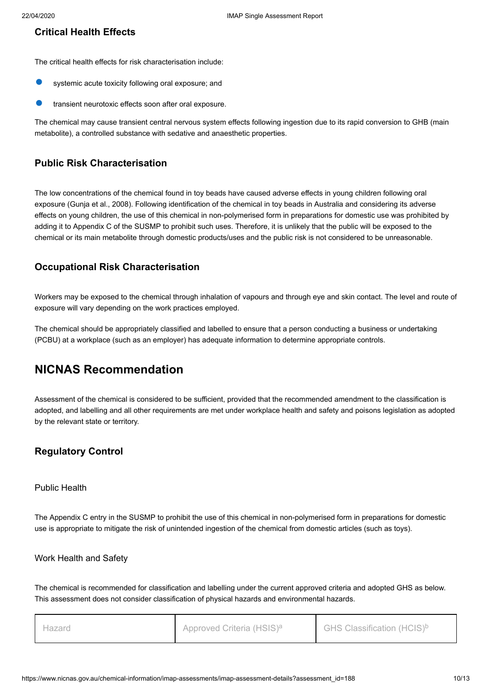#### **Critical Health Effects**

The critical health effects for risk characterisation include:

- systemic acute toxicity following oral exposure; and
- transient neurotoxic effects soon after oral exposure.

The chemical may cause transient central nervous system effects following ingestion due to its rapid conversion to GHB (main metabolite), a controlled substance with sedative and anaesthetic properties.

#### **Public Risk Characterisation**

The low concentrations of the chemical found in toy beads have caused adverse effects in young children following oral exposure (Gunja et al., 2008). Following identification of the chemical in toy beads in Australia and considering its adverse effects on young children, the use of this chemical in non-polymerised form in preparations for domestic use was prohibited by adding it to Appendix C of the SUSMP to prohibit such uses. Therefore, it is unlikely that the public will be exposed to the chemical or its main metabolite through domestic products/uses and the public risk is not considered to be unreasonable.

#### **Occupational Risk Characterisation**

Workers may be exposed to the chemical through inhalation of vapours and through eye and skin contact. The level and route of exposure will vary depending on the work practices employed.

The chemical should be appropriately classified and labelled to ensure that a person conducting a business or undertaking (PCBU) at a workplace (such as an employer) has adequate information to determine appropriate controls.

### <span id="page-9-0"></span>**NICNAS Recommendation**

Assessment of the chemical is considered to be sufficient, provided that the recommended amendment to the classification is adopted, and labelling and all other requirements are met under workplace health and safety and poisons legislation as adopted by the relevant state or territory.

### **Regulatory Control**

#### Public Health

The Appendix C entry in the SUSMP to prohibit the use of this chemical in non-polymerised form in preparations for domestic use is appropriate to mitigate the risk of unintended ingestion of the chemical from domestic articles (such as toys).

#### Work Health and Safety

The chemical is recommended for classification and labelling under the current approved criteria and adopted GHS as below. This assessment does not consider classification of physical hazards and environmental hazards.

| Hazaro | Approved Criteria (HSIS) <sup>a</sup> | GHS Classification (HCIS) <sup>b</sup> |
|--------|---------------------------------------|----------------------------------------|
|--------|---------------------------------------|----------------------------------------|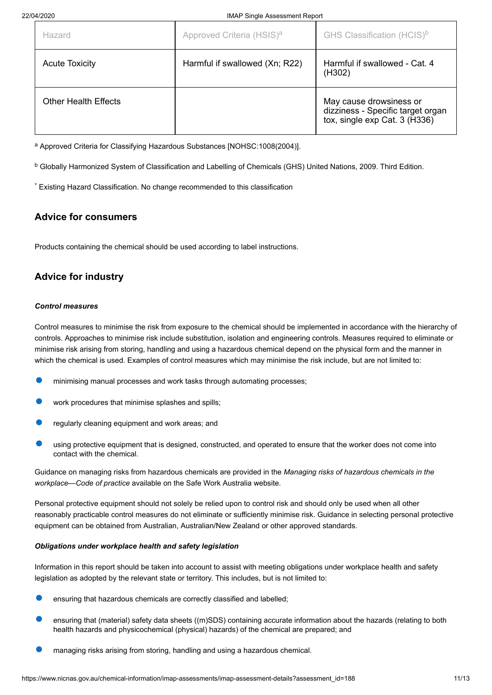| Hazard                      | Approved Criteria (HSIS) <sup>a</sup> | GHS Classification (HCIS) <sup>b</sup>                                                        |
|-----------------------------|---------------------------------------|-----------------------------------------------------------------------------------------------|
| <b>Acute Toxicity</b>       | Harmful if swallowed (Xn; R22)        | Harmful if swallowed - Cat. 4<br>(H302)                                                       |
| <b>Other Health Effects</b> |                                       | May cause drowsiness or<br>dizziness - Specific target organ<br>tox, single exp Cat. 3 (H336) |

<sup>a</sup> Approved Criteria for Classifying Hazardous Substances [NOHSC:1008(2004)].

 $^{\rm b}$  Globally Harmonized System of Classification and Labelling of Chemicals (GHS) United Nations, 2009. Third Edition.

Existing Hazard Classification. No change recommended to this classification \*

### **Advice for consumers**

Products containing the chemical should be used according to label instructions.

### **Advice for industry**

#### *Control measures*

Control measures to minimise the risk from exposure to the chemical should be implemented in accordance with the hierarchy of controls. Approaches to minimise risk include substitution, isolation and engineering controls. Measures required to eliminate or minimise risk arising from storing, handling and using a hazardous chemical depend on the physical form and the manner in which the chemical is used. Examples of control measures which may minimise the risk include, but are not limited to:

- minimising manual processes and work tasks through automating processes;
- work procedures that minimise splashes and spills;
- regularly cleaning equipment and work areas; and
- using protective equipment that is designed, constructed, and operated to ensure that the worker does not come into contact with the chemical.

Guidance on managing risks from hazardous chemicals are provided in the *Managing risks of hazardous chemicals in the workplace—Code of practice* available on the Safe Work Australia website.

Personal protective equipment should not solely be relied upon to control risk and should only be used when all other reasonably practicable control measures do not eliminate or sufficiently minimise risk. Guidance in selecting personal protective equipment can be obtained from Australian, Australian/New Zealand or other approved standards.

#### *Obligations under workplace health and safety legislation*

Information in this report should be taken into account to assist with meeting obligations under workplace health and safety legislation as adopted by the relevant state or territory. This includes, but is not limited to:

- ensuring that hazardous chemicals are correctly classified and labelled;
- ensuring that (material) safety data sheets ((m)SDS) containing accurate information about the hazards (relating to both health hazards and physicochemical (physical) hazards) of the chemical are prepared; and
- managing risks arising from storing, handling and using a hazardous chemical.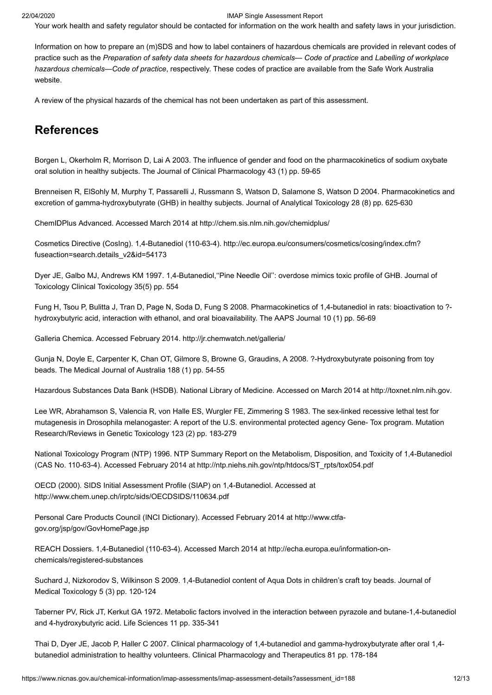Your work health and safety regulator should be contacted for information on the work health and safety laws in your jurisdiction.

Information on how to prepare an (m)SDS and how to label containers of hazardous chemicals are provided in relevant codes of practice such as the *Preparation of safety data sheets for hazardous chemicals— Code of practice* and *Labelling of workplace hazardous chemicals—Code of practice*, respectively. These codes of practice are available from the Safe Work Australia website.

A review of the physical hazards of the chemical has not been undertaken as part of this assessment.

### <span id="page-11-0"></span>**References**

Borgen L, Okerholm R, Morrison D, Lai A 2003. The influence of gender and food on the pharmacokinetics of sodium oxybate oral solution in healthy subjects. The Journal of Clinical Pharmacology 43 (1) pp. 59-65

Brenneisen R, ElSohly M, Murphy T, Passarelli J, Russmann S, Watson D, Salamone S, Watson D 2004. Pharmacokinetics and excretion of gamma-hydroxybutyrate (GHB) in healthy subjects. Journal of Analytical Toxicology 28 (8) pp. 625-630

ChemIDPlus Advanced. Accessed March 2014 at <http://chem.sis.nlm.nih.gov/chemidplus/>

[Cosmetics Directive \(CosIng\). 1,4-Butanediol \(110-63-4\). http://ec.europa.eu/consumers/cosmetics/cosing/index.cfm?](http://ec.europa.eu/consumers/cosmetics/cosing/index.cfm?fuseaction=search.details_v2&id=54173) fuseaction=search.details\_v2&id=54173

Dyer JE, Galbo MJ, Andrews KM 1997. 1,4-Butanediol,''Pine Needle Oil'': overdose mimics toxic profile of GHB. Journal of Toxicology Clinical Toxicology 35(5) pp. 554

Fung H, Tsou P, Bulitta J, Tran D, Page N, Soda D, Fung S 2008. Pharmacokinetics of 1,4-butanediol in rats: bioactivation to ? hydroxybutyric acid, interaction with ethanol, and oral bioavailability. The AAPS Journal 10 (1) pp. 56-69

Galleria Chemica. Accessed February 2014.<http://jr.chemwatch.net/galleria/>

Gunja N, Doyle E, Carpenter K, Chan OT, Gilmore S, Browne G, Graudins, A 2008. ?-Hydroxybutyrate poisoning from toy beads. The Medical Journal of Australia 188 (1) pp. 54-55

Hazardous Substances Data Bank (HSDB). National Library of Medicine. Accessed on March 2014 at [http://toxnet.nlm.nih.gov.](http://toxnet.nlm.nih.gov/)

Lee WR, Abrahamson S, Valencia R, von Halle ES, Wurgler FE, Zimmering S 1983. The sex-linked recessive lethal test for mutagenesis in Drosophila melanogaster: A report of the U.S. environmental protected agency Gene- Tox program. Mutation Research/Reviews in Genetic Toxicology 123 (2) pp. 183-279

National Toxicology Program (NTP) 1996. NTP Summary Report on the Metabolism, Disposition, and Toxicity of 1,4-Butanediol (CAS No. 110-63-4). Accessed February 2014 at [http://ntp.niehs.nih.gov/ntp/htdocs/ST\\_rpts/tox054.pdf](http://ntp.niehs.nih.gov/ntp/htdocs/ST_rpts/tox054.pdf)

OECD (2000). SIDS Initial Assessment Profile (SIAP) on 1,4-Butanediol. Accessed at <http://www.chem.unep.ch/irptc/sids/OECDSIDS/110634.pdf>

[Personal Care Products Council \(INCI Dictionary\). Accessed February 2014 at http://www.ctfa](http://www.ctfa-gov.org/jsp/gov/GovHomePage.jsp)gov.org/jsp/gov/GovHomePage.jsp

[REACH Dossiers. 1,4-Butanediol \(110-63-4\). Accessed March 2014 at http://echa.europa.eu/information-on](http://echa.europa.eu/information-on-chemicals/registered-substances)chemicals/registered-substances

Suchard J, Nizkorodov S, Wilkinson S 2009. 1,4-Butanediol content of Aqua Dots in children's craft toy beads. Journal of Medical Toxicology 5 (3) pp. 120-124

Taberner PV, Rick JT, Kerkut GA 1972. Metabolic factors involved in the interaction between pyrazole and butane-1,4-butanediol and 4-hydroxybutyric acid. Life Sciences 11 pp. 335-341

Thai D, Dyer JE, Jacob P, Haller C 2007. Clinical pharmacology of 1,4-butanediol and gamma-hydroxybutyrate after oral 1,4 butanediol administration to healthy volunteers. Clinical Pharmacology and Therapeutics 81 pp. 178-184